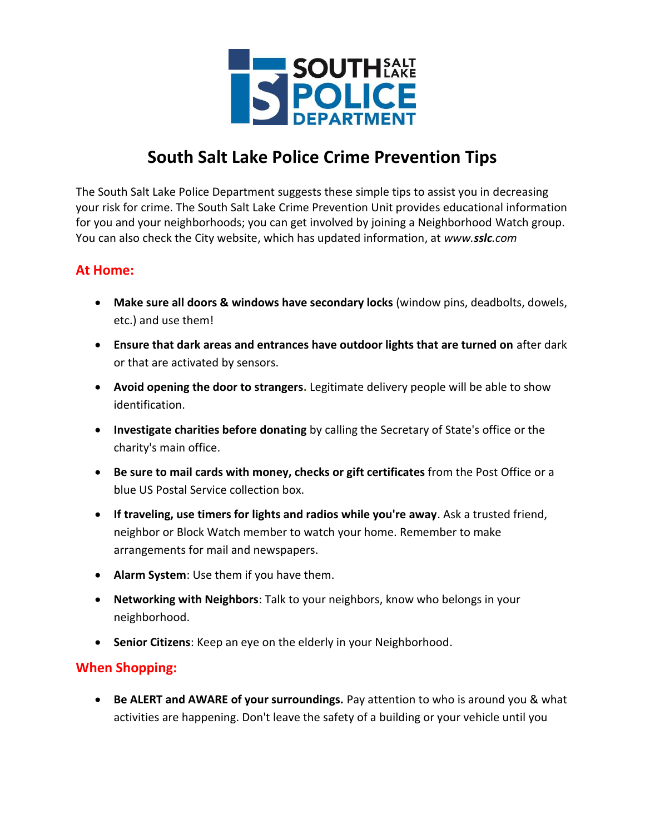

## **South Salt Lake Police Crime Prevention Tips**

The South Salt Lake Police Department suggests these simple tips to assist you in decreasing your risk for crime. The South Salt Lake Crime Prevention Unit provides educational information for you and your neighborhoods; you can get involved by joining a Neighborhood Watch group. You can also check the City website, which has updated information, at *www.sslc.com*

## **At Home:**

- **Make sure all doors & windows have secondary locks** (window pins, deadbolts, dowels, etc.) and use them!
- **Ensure that dark areas and entrances have outdoor lights that are turned on** after dark or that are activated by sensors.
- **Avoid opening the door to strangers.** Legitimate delivery people will be able to show identification.
- **Investigate charities before donating** by calling the Secretary of State's office or the charity's main office.
- **Be sure to mail cards with money, checks or gift certificates** from the Post Office or a blue US Postal Service collection box.
- **If traveling, use timers for lights and radios while you're away**. Ask a trusted friend, neighbor or Block Watch member to watch your home. Remember to make arrangements for mail and newspapers.
- **Alarm System**: Use them if you have them.
- **Networking with Neighbors**: Talk to your neighbors, know who belongs in your neighborhood.
- **Senior Citizens**: Keep an eye on the elderly in your Neighborhood.

## **When Shopping:**

 **Be ALERT and AWARE of your surroundings.** Pay attention to who is around you & what activities are happening. Don't leave the safety of a building or your vehicle until you